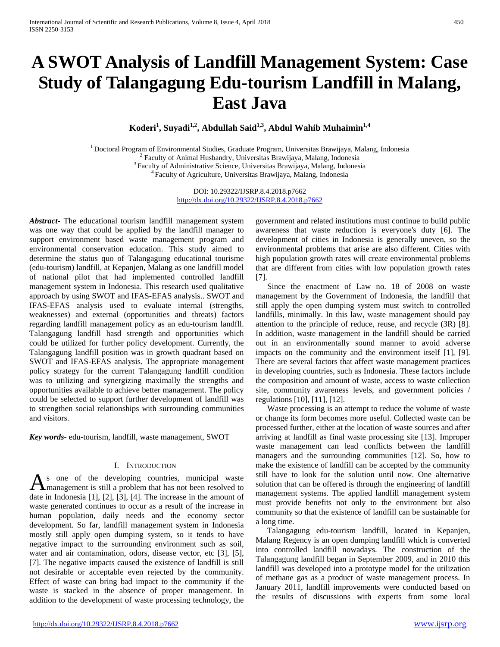# **A SWOT Analysis of Landfill Management System: Case Study of Talangagung Edu-tourism Landfill in Malang, East Java**

**Koderi1 , Suyadi1,2, Abdullah Said1,3, Abdul Wahib Muhaimin1,4**

<sup>1</sup> Doctoral Program of Environmental Studies, Graduate Program, Universitas Brawijaya, Malang, Indonesia<br><sup>2</sup> Faculty of Animal Husbandry, Universitas Brawijaya, Malang, Indonesia<br><sup>3</sup> Faculty of Administrative Science, Un

DOI: 10.29322/IJSRP.8.4.2018.p7662 <http://dx.doi.org/10.29322/IJSRP.8.4.2018.p7662>

*Abstract***-** The educational tourism landfill management system was one way that could be applied by the landfill manager to support environment based waste management program and environmental conservation education. This study aimed to determine the status quo of Talangagung educational tourisme (edu-tourism) landfill, at Kepanjen, Malang as one landfill model of national pilot that had implemented controlled landfill management system in Indonesia. This research used qualitative approach by using SWOT and IFAS-EFAS analysis.. SWOT and IFAS-EFAS analysis used to evaluate internal (strengths, weaknesses) and external (opportunities and threats) factors regarding landfill management policy as an edu-tourism landfll. Talangagung landfill hasd strength and opportunities which could be utilized for further policy development. Currently, the Talangagung landfill position was in growth quadrant based on SWOT and IFAS-EFAS analysis. The appropriate management policy strategy for the current Talangagung landfill condition was to utilizing and synergizing maximally the strengths and opportunities available to achieve better management. The policy could be selected to support further development of landfill was to strengthen social relationships with surrounding communities and visitors.

*Key words*- edu-tourism, landfill, waste management, SWOT

## I. INTRODUCTION

s one of the developing countries, municipal waste management is still a problem that has not been resolved to As one of the developing countries, municipal waste<br>date in Indonesia [1], [2], [3], [4]. The increase in the amount of waste generated continues to occur as a result of the increase in human population, daily needs and the economy sector development. So far, landfill management system in Indonesia mostly still apply open dumping system, so it tends to have negative impact to the surrounding environment such as soil, water and air contamination, odors, disease vector, etc [3], [5], [7]. The negative impacts caused the existence of landfill is still not desirable or acceptable even rejected by the community. Effect of waste can bring bad impact to the community if the waste is stacked in the absence of proper management. In addition to the development of waste processing technology, the

government and related institutions must continue to build public awareness that waste reduction is everyone's duty [6]. The development of cities in Indonesia is generally uneven, so the environmental problems that arise are also different. Cities with high population growth rates will create environmental problems that are different from cities with low population growth rates [7].

Since the enactment of Law no. 18 of 2008 on waste management by the Government of Indonesia, the landfill that still apply the open dumping system must switch to controlled landfills, minimally. In this law, waste management should pay attention to the principle of reduce, reuse, and recycle (3R) [8]. In addition, waste management in the landfill should be carried out in an environmentally sound manner to avoid adverse impacts on the community and the environment itself [1], [9]. There are several factors that affect waste management practices in developing countries, such as Indonesia. These factors include the composition and amount of waste, access to waste collection site, community awareness levels, and government policies / regulations [10], [11], [12].

Waste processing is an attempt to reduce the volume of waste or change its form becomes more useful. Collected waste can be processed further, either at the location of waste sources and after arriving at landfill as final waste processing site [13]. Improper waste management can lead conflicts between the landfill managers and the surrounding communities [12]. So, how to make the existence of landfill can be accepted by the community still have to look for the solution until now. One alternative solution that can be offered is through the engineering of landfill management systems. The applied landfill management system must provide benefits not only to the environment but also community so that the existence of landfill can be sustainable for a long time.

Talangagung edu-tourism landfill, located in Kepanjen, Malang Regency is an open dumping landfill which is converted into controlled landfill nowadays. The construction of the Talangagung landfill began in September 2009, and in 2010 this landfill was developed into a prototype model for the utilization of methane gas as a product of waste management process. In January 2011, landfill improvements were conducted based on the results of discussions with experts from some local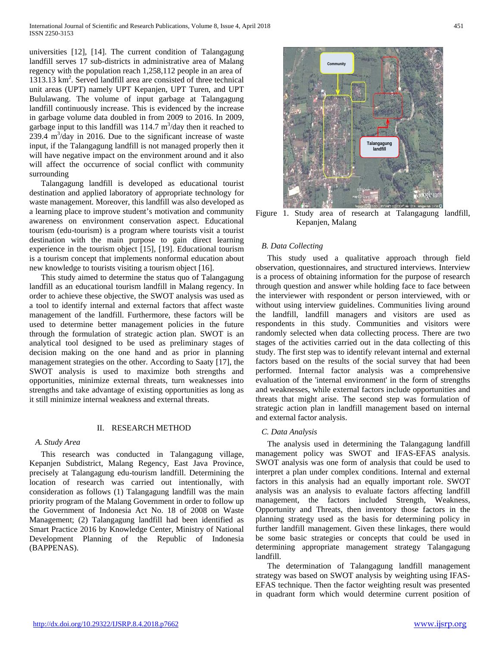universities [12], [14]. The current condition of Talangagung landfill serves 17 sub-districts in administrative area of Malang regency with the population reach 1,258,112 people in an area of 1313.13 km2 . Served landfill area are consisted of three technical unit areas (UPT) namely UPT Kepanjen, UPT Turen, and UPT Bululawang. The volume of input garbage at Talangagung landfill continuously increase. This is evidenced by the increase in garbage volume data doubled in from 2009 to 2016. In 2009, garbage input to this landfill was  $114.7 \text{ m}^3/\text{day}$  then it reached to  $239.4 \text{ m}^3/\text{day}$  in 2016. Due to the significant increase of waste input, if the Talangagung landfill is not managed properly then it will have negative impact on the environment around and it also will affect the occurrence of social conflict with community surrounding

Talangagung landfill is developed as educational tourist destination and applied laboratory of appropriate technology for waste management. Moreover, this landfill was also developed as a learning place to improve student's motivation and community awareness on environment conservation aspect. Educational tourism (edu-tourism) is a program where tourists visit a tourist destination with the main purpose to gain direct learning experience in the tourism object [15], [19]. Educational tourism is a tourism concept that implements nonformal education about new knowledge to tourists visiting a tourism object [16].

This study aimed to determine the status quo of Talangagung landfill as an educational tourism landfill in Malang regency. In order to achieve these objective, the SWOT analysis was used as a tool to identify internal and external factors that affect waste management of the landfill. Furthermore, these factors will be used to determine better management policies in the future through the formulation of strategic action plan. SWOT is an analytical tool designed to be used as preliminary stages of decision making on the one hand and as prior in planning management strategies on the other. According to Saaty [17], the SWOT analysis is used to maximize both strengths and opportunities, minimize external threats, turn weaknesses into strengths and take advantage of existing opportunities as long as it still minimize internal weakness and external threats.

## II. RESEARCH METHOD

## *A. Study Area*

This research was conducted in Talangagung village, Kepanjen Subdistrict, Malang Regency, East Java Province, precisely at Talangagung edu-tourism landfill. Determining the location of research was carried out intentionally, with consideration as follows (1) Talangagung landfill was the main priority program of the Malang Government in order to follow up the Government of Indonesia Act No. 18 of 2008 on Waste Management; (2) Talangagung landfill had been identified as Smart Practice 2016 by Knowledge Center, Ministry of National Development Planning of the Republic of Indonesia (BAPPENAS).



Figure 1. Study area of research at Talangagung landfill, Kepanjen, Malang

## *B. Data Collecting*

This study used a qualitative approach through field observation, questionnaires, and structured interviews. Interview is a process of obtaining information for the purpose of research through question and answer while holding face to face between the interviewer with respondent or person interviewed, with or without using interview guidelines. Communities living around the landfill, landfill managers and visitors are used as respondents in this study. Communities and visitors were randomly selected when data collecting process. There are two stages of the activities carried out in the data collecting of this study. The first step was to identify relevant internal and external factors based on the results of the social survey that had been performed. Internal factor analysis was a comprehensive evaluation of the 'internal environment' in the form of strengths and weaknesses, while external factors include opportunities and threats that might arise. The second step was formulation of strategic action plan in landfill management based on internal and external factor analysis.

#### *C. Data Analysis*

The analysis used in determining the Talangagung landfill management policy was SWOT and IFAS-EFAS analysis. SWOT analysis was one form of analysis that could be used to interpret a plan under complex conditions. Internal and external factors in this analysis had an equally important role. SWOT analysis was an analysis to evaluate factors affecting landfill management, the factors included Strength, Weakness, Opportunity and Threats, then inventory those factors in the planning strategy used as the basis for determining policy in further landfill management. Given these linkages, there would be some basic strategies or concepts that could be used in determining appropriate management strategy Talangagung landfill.

The determination of Talangagung landfill management strategy was based on SWOT analysis by weighting using IFAS-EFAS technique. Then the factor weighting result was presented in quadrant form which would determine current position of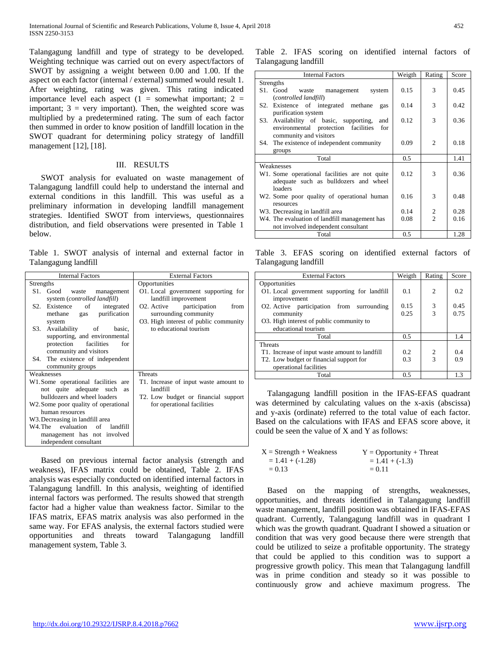Talangagung landfill and type of strategy to be developed. Weighting technique was carried out on every aspect/factors of SWOT by assigning a weight between 0.00 and 1.00. If the aspect on each factor (internal / external) summed would result 1. After weighting, rating was given. This rating indicated importance level each aspect  $(1 =$  somewhat important;  $2 =$ important;  $3 = \text{very important}$ . Then, the weighted score was multiplied by a predetermined rating. The sum of each factor then summed in order to know position of landfill location in the SWOT quadrant for determining policy strategy of landfill management [12], [18].

#### III. RESULTS

SWOT analysis for evaluated on waste management of Talangagung landfill could help to understand the internal and external conditions in this landfill. This was useful as a preliminary information in developing landfill management strategies. Identified SWOT from interviews, questionnaires distribution, and field observations were presented in Table 1 below.

Table 1. SWOT analysis of internal and external factor in Talangagung landfill

| <b>Internal Factors</b>                                                          | <b>External Factors</b>                                                   |  |  |  |
|----------------------------------------------------------------------------------|---------------------------------------------------------------------------|--|--|--|
| Strengths                                                                        | Opportunities                                                             |  |  |  |
| S1. Good<br>waste<br>management<br>system (controlled landfill)                  | O1. Local government supporting for<br>landfill improvement               |  |  |  |
| S <sub>2</sub> .<br>Existence<br>of<br>integrated<br>purification<br>methane gas | O <sub>2</sub> . Active<br>participation<br>from<br>surrounding community |  |  |  |
| system                                                                           | O3. High interest of public community                                     |  |  |  |
| S3.<br>Availability<br>of basic,                                                 | to educational tourism                                                    |  |  |  |
| supporting, and environmental                                                    |                                                                           |  |  |  |
| facilities<br>protection<br>for                                                  |                                                                           |  |  |  |
| community and visitors                                                           |                                                                           |  |  |  |
| The existence of independent<br>S4.                                              |                                                                           |  |  |  |
| community groups                                                                 |                                                                           |  |  |  |
| Weaknesses                                                                       | Threats                                                                   |  |  |  |
| W1.Some operational facilities are                                               | T1. Increase of input waste amount to                                     |  |  |  |
| not quite adequate such<br>as                                                    | landfill                                                                  |  |  |  |
| bulldozers and wheel loaders                                                     | T2. Low budget or financial support                                       |  |  |  |
| W2. Some poor quality of operational                                             | for operational facilities                                                |  |  |  |
| human resources                                                                  |                                                                           |  |  |  |
| W3. Decreasing in landfill area                                                  |                                                                           |  |  |  |
| W4. The evaluation of landfill                                                   |                                                                           |  |  |  |
| management has not involved                                                      |                                                                           |  |  |  |
| independent consultant                                                           |                                                                           |  |  |  |

Based on previous internal factor analysis (strength and weakness), IFAS matrix could be obtained, Table 2. IFAS analysis was especially conducted on identified internal factors in Talangagung landfill. In this analysis, weighting of identified internal factors was performed. The results showed that strength factor had a higher value than weakness factor. Similar to the IFAS matrix, EFAS matrix analysis was also performed in the same way. For EFAS analysis, the external factors studied were opportunities and threats toward Talangagung landfill management system, Table 3.

Table 2. IFAS scoring on identified internal factors of Talangagung landfill

| <b>Internal Factors</b>                       | Weigth | Rating                   | Score |
|-----------------------------------------------|--------|--------------------------|-------|
| Strengths                                     |        |                          |       |
| S1. Good<br>waste management<br>system        | 0.15   | 3                        | 0.45  |
| (controlled landfill)                         |        |                          |       |
| S2. Existence of integrated methane<br>gas    | 0.14   | 3                        | 0.42  |
| purification system                           |        |                          |       |
|                                               |        | 3                        |       |
| S3. Availability of basic, supporting,<br>and | 0.12   |                          | 0.36  |
| environmental protection facilities<br>for    |        |                          |       |
| community and visitors                        |        |                          |       |
| S4. The existence of independent community    | 0.09   | $\mathfrak{D}$           | 0.18  |
| groups                                        |        |                          |       |
| Total                                         | 0.5    |                          | 1.41  |
| Weaknesses                                    |        |                          |       |
| W1. Some operational facilities are not quite | 0.12   | 3                        | 0.36  |
| adequate such as bulldozers and wheel         |        |                          |       |
| loaders                                       |        |                          |       |
|                                               | 0.16   | 3                        | 0.48  |
| W2. Some poor quality of operational human    |        |                          |       |
| resources                                     |        |                          |       |
| W <sub>3</sub> . Decreasing in landfill area  | 0.14   | 2                        | 0.28  |
| W4. The evaluation of landfill management has | 0.08   | $\overline{\mathcal{L}}$ | 0.16  |
| not involved independent consultant           |        |                          |       |
| Total                                         | 0.5    |                          | 1.28  |

Table 3. EFAS scoring on identified external factors of Talangagung landfill

| <b>External Factors</b>                                     | Weigth | Rating         | Score |
|-------------------------------------------------------------|--------|----------------|-------|
| Opportunities                                               |        |                |       |
| O1. Local government supporting for landfill<br>improvement | 0.1    | $\overline{c}$ | 0.2   |
| O2. Active participation from surrounding                   | 0.15   | 3              | 0.45  |
| community                                                   | 0.25   | $\mathcal{R}$  | 0.75  |
| O3. High interest of public community to                    |        |                |       |
| educational tourism                                         |        |                |       |
| Total                                                       | 0.5    |                | 1.4   |
| <b>Threats</b>                                              |        |                |       |
| T1. Increase of input waste amount to landfill              | 0.2    | $\overline{2}$ | 0.4   |
| T2. Low budget or financial support for                     | 0.3    | $\mathcal{R}$  | 0.9   |
| operational facilities                                      |        |                |       |
| Total                                                       | 0.5    |                | 1.3   |

Talangagung landfill position in the IFAS-EFAS quadrant was determined by calculating values on the x-axis (abscissa) and y-axis (ordinate) referred to the total value of each factor. Based on the calculations with IFAS and EFAS score above, it could be seen the value of X and Y as follows:

| $X =$ Strength + Weakness | $Y =$ Opportunity + Threat |
|---------------------------|----------------------------|
| $= 1.41 + (-1.28)$        | $= 1.41 + (-1.3)$          |
| $= 0.13$                  | $= 0.11$                   |

Based on the mapping of strengths, weaknesses, opportunities, and threats identified in Talangagung landfill waste management, landfill position was obtained in IFAS-EFAS quadrant. Currently, Talangagung landfill was in quadrant I which was the growth quadrant. Quadrant I showed a situation or condition that was very good because there were strength that could be utilized to seize a profitable opportunity. The strategy that could be applied to this condition was to support a progressive growth policy. This mean that Talangagung landfill was in prime condition and steady so it was possible to continuously grow and achieve maximum progress. The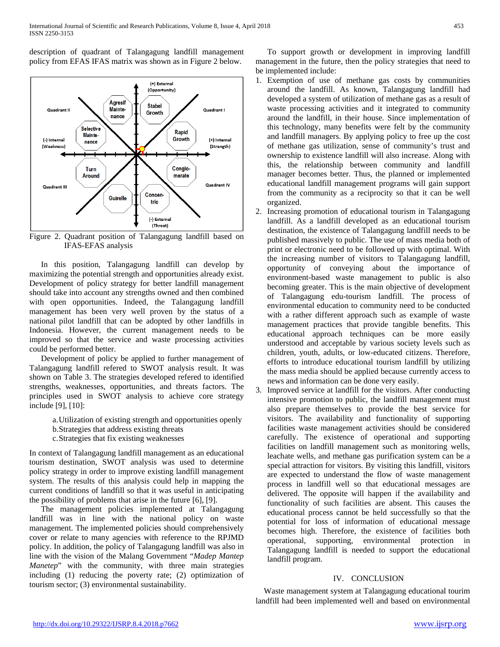description of quadrant of Talangagung landfill management policy from EFAS IFAS matrix was shown as in Figure 2 below.



Figure 2. Quadrant position of Talangagung landfill based on IFAS-EFAS analysis

In this position, Talangagung landfill can develop by maximizing the potential strength and opportunities already exist. Development of policy strategy for better landfill management should take into account any strengths owned and then combined with open opportunities. Indeed, the Talangagung landfill management has been very well proven by the status of a national pilot landfill that can be adopted by other landfills in Indonesia. However, the current management needs to be improved so that the service and waste processing activities could be performed better.

Development of policy be applied to further management of Talangagung landfill refered to SWOT analysis result. It was shown on Table 3. The strategies developed refered to identified strengths, weaknesses, opportunities, and threats factors. The principles used in SWOT analysis to achieve core strategy include [9], [10]:

> a.Utilization of existing strength and opportunities openly b.Strategies that address existing threats c.Strategies that fix existing weaknesses

In context of Talangagung landfill management as an educational tourism destination, SWOT analysis was used to determine policy strategy in order to improve existing landfill management system. The results of this analysis could help in mapping the current conditions of landfill so that it was useful in anticipating the possibility of problems that arise in the future [6], [9].

The management policies implemented at Talangagung landfill was in line with the national policy on waste management. The implemented policies should comprehensively cover or relate to many agencies with reference to the RPJMD policy. In addition, the policy of Talangagung landfill was also in line with the vision of the Malang Government "*Madep Mantep Manetep*" with the community, with three main strategies including (1) reducing the poverty rate; (2) optimization of tourism sector; (3) environmental sustainability.

To support growth or development in improving landfill management in the future, then the policy strategies that need to be implemented include:

- 1. Exemption of use of methane gas costs by communities around the landfill. As known, Talangagung landfill had developed a system of utilization of methane gas as a result of waste processing activities and it integrated to community around the landfill, in their house. Since implementation of this technology, many benefits were felt by the community and landfill managers. By applying policy to free up the cost of methane gas utilization, sense of community's trust and ownership to existence landfill will also increase. Along with this, the relationship between community and landfill manager becomes better. Thus, the planned or implemented educational landfill management programs will gain support from the community as a reciprocity so that it can be well organized.
- 2. Increasing promotion of educational tourism in Talangagung landfill. As a landfill developed as an educational tourism destination, the existence of Talangagung landfill needs to be published massively to public. The use of mass media both of print or electronic need to be followed up with optimal. With the increasing number of visitors to Talangagung landfill, opportunity of conveying about the importance of environment-based waste management to public is also becoming greater. This is the main objective of development of Talangagung edu-tourism landfill. The process of environmental education to community need to be conducted with a rather different approach such as example of waste management practices that provide tangible benefits. This educational approach techniques can be more easily understood and acceptable by various society levels such as children, youth, adults, or low-educated citizens. Therefore, efforts to introduce educational tourism landfill by utilizing the mass media should be applied because currently access to news and information can be done very easily.
- 3. Improved service at landfill for the visitors. After conducting intensive promotion to public, the landfill management must also prepare themselves to provide the best service for visitors. The availability and functionality of supporting facilities waste management activities should be considered carefully. The existence of operational and supporting facilities on landfill management such as monitoring wells, leachate wells, and methane gas purification system can be a special attraction for visitors. By visiting this landfill, visitors are expected to understand the flow of waste management process in landfill well so that educational messages are delivered. The opposite will happen if the availability and functionality of such facilities are absent. This causes the educational process cannot be held successfully so that the potential for loss of information of educational message becomes high. Therefore, the existence of facilities both operational, supporting, environmental protection in Talangagung landfill is needed to support the educational landfill program.

## IV. CONCLUSION

Waste management system at Talangagung educational tourim landfill had been implemented well and based on environmental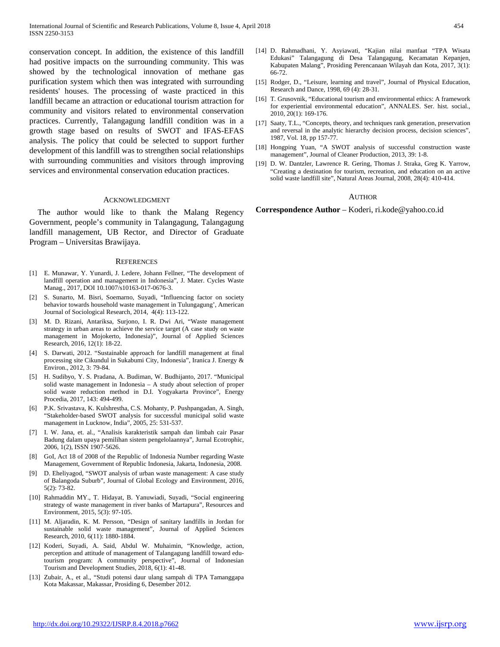conservation concept. In addition, the existence of this landfill had positive impacts on the surrounding community. This was showed by the technological innovation of methane gas purification system which then was integrated with surrounding residents' houses. The processing of waste practiced in this landfill became an attraction or educational tourism attraction for community and visitors related to environmental conservation practices. Currently, Talangagung landfill condition was in a growth stage based on results of SWOT and IFAS-EFAS analysis. The policy that could be selected to support further development of this landfill was to strengthen social relationships with surrounding communities and visitors through improving services and environmental conservation education practices.

#### ACKNOWLEDGMENT

The author would like to thank the Malang Regency Government, people's community in Talangagung, Talangagung landfill management, UB Rector, and Director of Graduate Program – Universitas Brawijaya.

#### **REFERENCES**

- [1] E. Munawar, Y. Yunardi, J. Ledere, Johann Fellner, "The development of landfill operation and management in Indonesia", J. Mater. Cycles Waste Manag., 2017, DOI 10.1007/s10163-017-0676-3.
- [2] S. Sunarto, M. Bisri, Soemarno, Suyadi, "Influencing factor on society behavior towards household waste management in Tulungagung', American Journal of Sociological Research, 2014, 4(4): 113-122.
- [3] M. D. Rizani, Antariksa, Surjono, I. R. Dwi Ari, "Waste management strategy in urban areas to achieve the service target (A case study on waste management in Mojokerto, Indonesia)", Journal of Applied Sciences Research, 2016, 12(1): 18-22.
- [4] S. Darwati, 2012. "Sustainable approach for landfill management at final processing site Cikundul in Sukabumi City, Indonesia", Iranica J. Energy & Environ., 2012, 3: 79-84.
- [5] H. Sudibyo, Y. S. Pradana, A. Budiman, W. Budhijanto, 2017. "Municipal solid waste management in Indonesia – A study about selection of proper solid waste reduction method in D.I. Yogyakarta Province", Energy Procedia, 2017, 143: 494-499.
- [6] P.K. Srivastava, K. Kulshrestha, C.S. Mohanty, P. Pushpangadan, A. Singh, "Stakeholder-based SWOT analysis for successful municipal solid waste management in Lucknow, India", 2005, 25: 531-537.
- [7] I. W. Jana, et. al., "Analisis karakteristik sampah dan limbah cair Pasar Badung dalam upaya pemilihan sistem pengelolaannya", Jurnal Ecotrophic, 2006, 1(2), ISSN 1907-5626.
- [8] GoI, Act 18 of 2008 of the Republic of Indonesia Number regarding Waste Management, Government of Republic Indonesia, Jakarta, Indonesia, 2008.
- [9] D. Eheliyagod, "SWOT analysis of urban waste management: A case study of Balangoda Suburb", Journal of Global Ecology and Environment, 2016, 5(2): 73-82.
- [10] Rahmaddin MY., T. Hidayat, B. Yanuwiadi, Suyadi, "Social engineering strategy of waste management in river banks of Martapura", Resources and Environment, 2015, 5(3): 97-105.
- [11] M. Aljaradin, K. M. Persson, "Design of sanitary landfills in Jordan for sustainable solid waste management", Journal of Applied Sciences Research, 2010, 6(11): 1880-1884.
- [12] Koderi, Suyadi, A. Said, Abdul W. Muhaimin, "Knowledge, action, perception and attitude of management of Talangagung landfill toward edutourism program: A community perspective", Journal of Indonesian Tourism and Development Studies, 2018, 6(1): 41-48.
- [13] Zubair, A., et al., "Studi potensi daur ulang sampah di TPA Tamanggapa Kota Makassar, Makassar, Prosiding 6, Desember 2012.
- [14] D. Rahmadhani, Y. Asyiawati, "Kajian nilai manfaat "TPA Wisata Edukasi" Talangagung di Desa Talangagung, Kecamatan Kepanjen, Kabupaten Malang", Prosiding Perencanaan Wilayah dan Kota, 2017, 3(1): 66-72.
- [15] Rodger, D., "Leisure, learning and travel", Journal of Physical Education, Research and Dance, 1998, 69 (4): 28-31.
- [16] T. Grusovnik, "Educational tourism and environmental ethics: A framework for experiential environmental education", ANNALES. Ser. hist. social., 2010, 20(1): 169-176.
- [17] Saaty, T.L., "Concepts, theory, and techniques rank generation, preservation and reversal in the analytic hierarchy decision process, decision sciences", 1987, Vol. 18, pp 157-77.
- [18] Hongping Yuan, "A SWOT analysis of successful construction waste management", Journal of Cleaner Production, 2013, 39: 1-8.
- [19] D. W. Dantzler, Lawrence R. Gering, Thomas J. Straka, Greg K. Yarrow, "Creating a destination for tourism, recreation, and education on an active solid waste landfill site", Natural Areas Journal, 2008, 28(4): 410-414.

#### AUTHOR

**Correspondence Author** – Koderi, ri.kode@yahoo.co.id